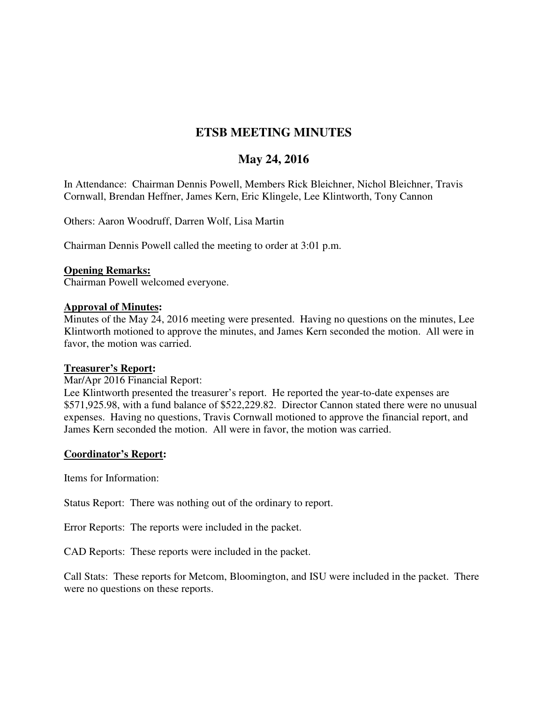# **ETSB MEETING MINUTES**

## **May 24, 2016**

In Attendance: Chairman Dennis Powell, Members Rick Bleichner, Nichol Bleichner, Travis Cornwall, Brendan Heffner, James Kern, Eric Klingele, Lee Klintworth, Tony Cannon

Others: Aaron Woodruff, Darren Wolf, Lisa Martin

Chairman Dennis Powell called the meeting to order at 3:01 p.m.

#### **Opening Remarks:**

Chairman Powell welcomed everyone.

#### **Approval of Minutes:**

Minutes of the May 24, 2016 meeting were presented. Having no questions on the minutes, Lee Klintworth motioned to approve the minutes, and James Kern seconded the motion. All were in favor, the motion was carried.

#### **Treasurer's Report:**

Mar/Apr 2016 Financial Report:

Lee Klintworth presented the treasurer's report. He reported the year-to-date expenses are \$571,925.98, with a fund balance of \$522,229.82. Director Cannon stated there were no unusual expenses. Having no questions, Travis Cornwall motioned to approve the financial report, and James Kern seconded the motion. All were in favor, the motion was carried.

#### **Coordinator's Report:**

Items for Information:

Status Report: There was nothing out of the ordinary to report.

Error Reports: The reports were included in the packet.

CAD Reports: These reports were included in the packet.

Call Stats: These reports for Metcom, Bloomington, and ISU were included in the packet. There were no questions on these reports.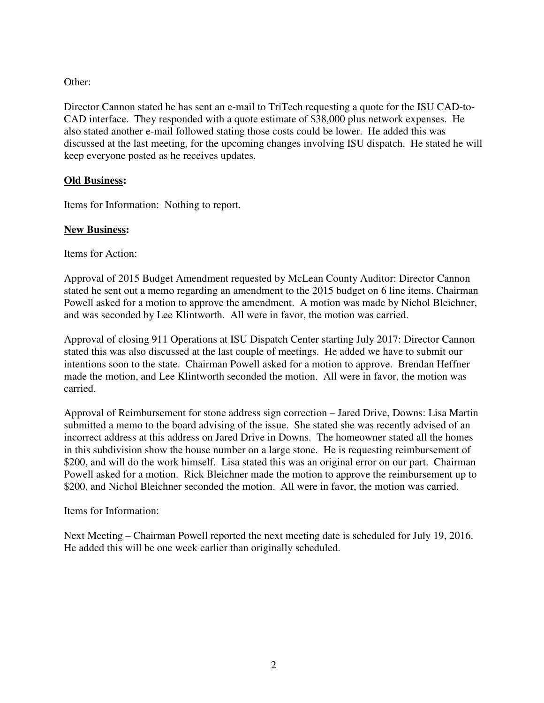## Other:

Director Cannon stated he has sent an e-mail to TriTech requesting a quote for the ISU CAD-to-CAD interface. They responded with a quote estimate of \$38,000 plus network expenses. He also stated another e-mail followed stating those costs could be lower. He added this was discussed at the last meeting, for the upcoming changes involving ISU dispatch. He stated he will keep everyone posted as he receives updates.

## **Old Business:**

Items for Information: Nothing to report.

### **New Business:**

Items for Action:

Approval of 2015 Budget Amendment requested by McLean County Auditor: Director Cannon stated he sent out a memo regarding an amendment to the 2015 budget on 6 line items. Chairman Powell asked for a motion to approve the amendment. A motion was made by Nichol Bleichner, and was seconded by Lee Klintworth. All were in favor, the motion was carried.

Approval of closing 911 Operations at ISU Dispatch Center starting July 2017: Director Cannon stated this was also discussed at the last couple of meetings. He added we have to submit our intentions soon to the state. Chairman Powell asked for a motion to approve. Brendan Heffner made the motion, and Lee Klintworth seconded the motion. All were in favor, the motion was carried.

Approval of Reimbursement for stone address sign correction – Jared Drive, Downs: Lisa Martin submitted a memo to the board advising of the issue. She stated she was recently advised of an incorrect address at this address on Jared Drive in Downs. The homeowner stated all the homes in this subdivision show the house number on a large stone. He is requesting reimbursement of \$200, and will do the work himself. Lisa stated this was an original error on our part. Chairman Powell asked for a motion. Rick Bleichner made the motion to approve the reimbursement up to \$200, and Nichol Bleichner seconded the motion. All were in favor, the motion was carried.

Items for Information:

Next Meeting – Chairman Powell reported the next meeting date is scheduled for July 19, 2016. He added this will be one week earlier than originally scheduled.